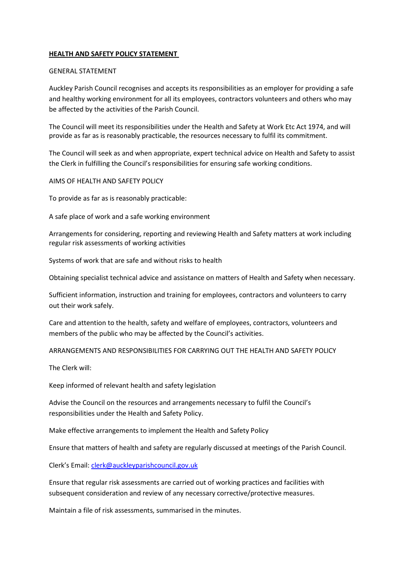## HEALTH AND SAFETY POLICY STATEMENT

## GENERAL STATEMENT

Auckley Parish Council recognises and accepts its responsibilities as an employer for providing a safe and healthy working environment for all its employees, contractors volunteers and others who may be affected by the activities of the Parish Council.

The Council will meet its responsibilities under the Health and Safety at Work Etc Act 1974, and will provide as far as is reasonably practicable, the resources necessary to fulfil its commitment.

The Council will seek as and when appropriate, expert technical advice on Health and Safety to assist the Clerk in fulfilling the Council's responsibilities for ensuring safe working conditions.

AIMS OF HEALTH AND SAFETY POLICY

To provide as far as is reasonably practicable:

A safe place of work and a safe working environment

Arrangements for considering, reporting and reviewing Health and Safety matters at work including regular risk assessments of working activities

Systems of work that are safe and without risks to health

Obtaining specialist technical advice and assistance on matters of Health and Safety when necessary.

Sufficient information, instruction and training for employees, contractors and volunteers to carry out their work safely.

Care and attention to the health, safety and welfare of employees, contractors, volunteers and members of the public who may be affected by the Council's activities.

ARRANGEMENTS AND RESPONSIBILITIES FOR CARRYING OUT THE HEALTH AND SAFETY POLICY

The Clerk will:

Keep informed of relevant health and safety legislation

Advise the Council on the resources and arrangements necessary to fulfil the Council's responsibilities under the Health and Safety Policy.

Make effective arrangements to implement the Health and Safety Policy

Ensure that matters of health and safety are regularly discussed at meetings of the Parish Council.

Clerk's Email: clerk@auckleyparishcouncil.gov.uk

Ensure that regular risk assessments are carried out of working practices and facilities with subsequent consideration and review of any necessary corrective/protective measures.

Maintain a file of risk assessments, summarised in the minutes.